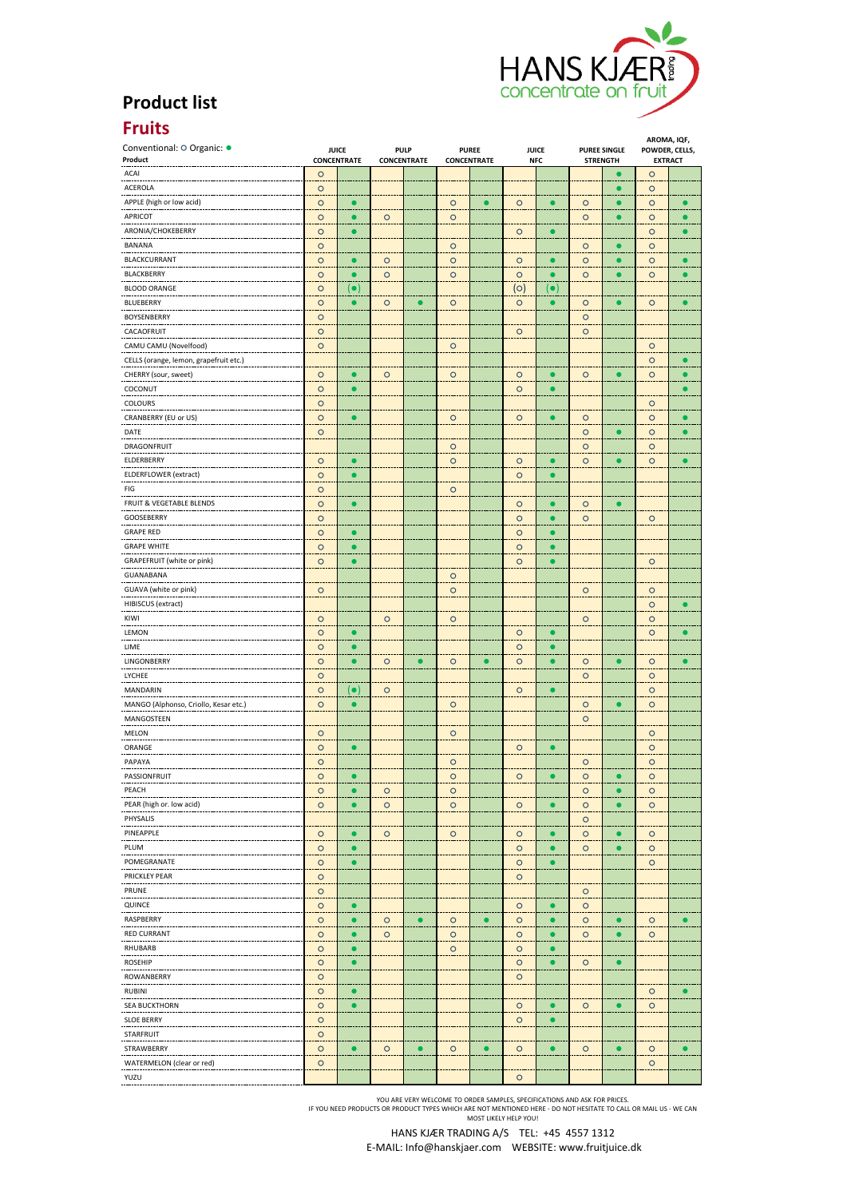

## **Product list**

## **Fruits**

| .<br>Conventional: O Organic: ·        |                                    |                    |                                   |           |                                    |           |                            |             |                                        |           | AROMA, IQF,                      |           |
|----------------------------------------|------------------------------------|--------------------|-----------------------------------|-----------|------------------------------------|-----------|----------------------------|-------------|----------------------------------------|-----------|----------------------------------|-----------|
| Product                                | <b>JUICE</b><br><b>CONCENTRATE</b> |                    | <b>PULP</b><br><b>CONCENTRATE</b> |           | <b>PUREE</b><br><b>CONCENTRATE</b> |           | <b>JUICE</b><br><b>NFC</b> |             | <b>PUREE SINGLE</b><br><b>STRENGTH</b> |           | POWDER, CELLS,<br><b>EXTRACT</b> |           |
| ACAI                                   | $\circ$                            |                    |                                   |           |                                    |           |                            |             |                                        |           | $\circ$                          |           |
| ACEROLA                                | $\circ$                            |                    |                                   |           |                                    |           |                            |             |                                        | $\bullet$ | $\circ$                          |           |
| APPLE (high or low acid)               | $\circ$                            | $\bullet$          |                                   |           | $\circ$                            |           | $\circ$                    | $\bullet$   | $\circ$                                | $\bullet$ | $\circ$                          |           |
| <b>APRICOT</b>                         | $\circ$                            |                    | $\circ$                           |           | $\circ$                            |           |                            |             | $\circ$                                | $\bullet$ | $\circ$                          |           |
| ARONIA/CHOKEBERRY                      | $\circ$                            | $\bullet$          |                                   |           |                                    |           | $\circ$                    |             |                                        |           | $\circ$                          |           |
| BANANA                                 | $\circ$                            |                    |                                   |           | $\circ$                            |           |                            |             | $\circ$                                |           | $\circ$                          |           |
| <b>BLACKCURRANT</b>                    | $\circ$                            |                    | $\circ$                           |           | $\circ$                            |           | $\circ$                    |             | $\circ$                                |           | $\circ$                          |           |
| BLACKBERRY                             |                                    | $\bullet$          |                                   |           | $\circ$                            |           |                            |             | $\circ$                                | $\bullet$ |                                  |           |
|                                        | $\circ$                            |                    | $\circ$                           |           |                                    |           | $\circ$                    |             |                                        |           | $\circ$                          |           |
| <b>BLOOD ORANGE</b>                    | $\circ$                            | $(\bullet)$        |                                   |           |                                    |           | (ဝ)                        | $(\bullet)$ |                                        |           |                                  |           |
| <b>BLUEBERRY</b>                       | $\circ$                            |                    | $\circ$                           |           | $\circ$                            |           | $\circ$                    |             | $\circ$                                |           | $\circ$                          |           |
| <b>BOYSENBERRY</b>                     | $\circ$                            |                    |                                   |           |                                    |           |                            |             | $\circ$                                |           |                                  |           |
| CACAOFRUIT                             | $\circ$                            |                    |                                   |           |                                    |           | $\circ$                    |             | $\circ$                                |           |                                  |           |
| CAMU CAMU (Novelfood)                  | $\circ$                            |                    |                                   |           | $\circ$                            |           |                            |             |                                        |           | $\circ$                          |           |
| CELLS (orange, lemon, grapefruit etc.) |                                    |                    |                                   |           |                                    |           |                            |             |                                        |           | $\circ$                          |           |
| CHERRY (sour, sweet)                   | $\circ$                            | $\bullet$          | $\circ$                           |           | $\circ$                            |           | $\circ$                    | $\bullet$   | $\circ$                                | $\bullet$ | $\circ$                          |           |
| COCONUT                                | $\circ$                            | $\bullet$          |                                   |           |                                    |           | $\circ$                    |             |                                        |           |                                  |           |
| COLOURS                                | $\circ$                            |                    |                                   |           |                                    |           |                            |             |                                        |           | $\circ$                          |           |
| CRANBERRY (EU or US)                   | $\circ$                            | $\bullet$          |                                   |           | $\circ$                            |           | $\circ$                    | ٠           | $\circ$                                |           | $\circ$                          |           |
| DATE                                   | $\circ$                            |                    |                                   |           |                                    |           |                            |             | $\circ$                                |           | $\circ$                          |           |
|                                        |                                    |                    |                                   |           |                                    |           |                            |             |                                        |           |                                  |           |
| DRAGONFRUIT                            |                                    |                    |                                   |           | $\circ$                            |           |                            |             | $\circ$                                |           | $\circ$                          |           |
| ELDERBERRY                             | $\circ$                            | $\bullet$          |                                   |           | $\circ$                            |           | $\circ$                    |             | $\circ$                                | $\bullet$ | $\circ$                          |           |
| ELDERFLOWER (extract)                  | $\circ$                            | $\bullet$          |                                   |           |                                    |           | $\circ$                    |             |                                        |           |                                  |           |
| FIG                                    | $\circ$                            |                    |                                   |           | $\circ$                            |           |                            |             |                                        |           |                                  |           |
| FRUIT & VEGETABLE BLENDS               | $\circ$                            | $\bullet$          |                                   |           |                                    |           | $\circ$                    |             | $\circ$                                | $\bullet$ |                                  |           |
| GOOSEBERRY                             | $\circ$                            |                    |                                   |           |                                    |           | $\circ$                    |             | $\circ$                                |           | $\circ$                          |           |
| <b>GRAPE RED</b>                       | $\circ$                            |                    |                                   |           |                                    |           | $\circ$                    |             |                                        |           |                                  |           |
| <b>GRAPE WHITE</b>                     | $\circ$                            | $\bullet$          |                                   |           |                                    |           | $\circ$                    | $\bullet$   |                                        |           |                                  |           |
| GRAPEFRUIT (white or pink)             | $\circ$                            | $\bullet$          |                                   |           |                                    |           | $\circ$                    | O           |                                        |           | $\circ$                          |           |
| GUANABANA                              |                                    |                    |                                   |           | $\circ$                            |           |                            |             |                                        |           |                                  |           |
|                                        |                                    |                    |                                   |           |                                    |           |                            |             |                                        |           |                                  |           |
| GUAVA (white or pink)                  | $\circ$                            |                    |                                   |           | $\circ$                            |           |                            |             | $\circ$                                |           | $\circ$                          |           |
| HIBISCUS (extract)                     |                                    |                    |                                   |           |                                    |           |                            |             |                                        |           | $\circ$                          |           |
| KIWI<br>-----                          | $\circ$                            |                    | $\circ$                           |           | $\circ$                            |           |                            |             | $\circ$                                |           | $\circ$                          |           |
| LEMON                                  | $\circ$                            |                    |                                   |           |                                    |           | $\circ$                    |             |                                        |           | $\circ$                          |           |
| LIME                                   | $\circ$                            | $\bullet$          |                                   |           |                                    |           | $\circ$                    |             |                                        |           |                                  |           |
| LINGONBERRY                            | $\circ$                            |                    | $\circ$                           |           | $\circ$                            |           | $\circ$                    |             | $\circ$                                |           | $\circ$                          |           |
| LYCHEE                                 | $\circ$                            |                    |                                   |           |                                    |           |                            |             | $\circ$                                |           | $\circ$                          |           |
| MANDARIN                               | $\circ$                            | $(\bullet)$        | $\circ$                           |           |                                    |           | $\circ$                    | $\bullet$   |                                        |           | $\circ$                          |           |
| MANGO (Alphonso, Criollo, Kesar etc.)  | $\circ$                            | $\bullet$          |                                   |           | $\circ$                            |           |                            |             | $\circ$                                |           | $\circ$                          |           |
| MANGOSTEEN                             |                                    |                    |                                   |           |                                    |           |                            |             | $\circ$                                |           |                                  |           |
| MELON                                  | $\circ$                            |                    |                                   |           | $\circ$                            |           |                            |             |                                        |           | $\circ$                          |           |
| ORANGE                                 | $\circ$                            | $\bullet$          |                                   |           |                                    |           | $\circ$                    | О           |                                        |           | $\circ$                          |           |
|                                        |                                    |                    |                                   |           |                                    |           |                            |             |                                        |           |                                  |           |
| PAPAYA                                 | $\circ$                            |                    |                                   |           | $\circ$                            |           |                            |             | $\circ$                                |           | $\circ$                          |           |
| PASSIONFRUIT                           | $\circ$                            | О                  |                                   |           | $\circ$                            |           | $\circ$                    | ٠           | $\circ$                                | г         | $\circ$                          |           |
| PEACH                                  | $\circ$                            | $\bullet$          | $\circ$                           |           | $\circ$                            |           |                            |             | $\circ$                                | ٠         | $\circ$                          |           |
| PEAR (high or. low acid)               | $\circ$                            |                    | $\circ$                           |           | $\circ$                            |           | $\circ$                    |             | $\circ$                                | $\bullet$ | $\circ$                          |           |
| PHYSALIS<br>-----------                |                                    |                    |                                   |           |                                    |           |                            |             | $\circ$                                |           |                                  |           |
| PINEAPPLE                              | $\circ$                            | $\bullet$          | $\circ$                           |           | $\circ$                            |           | $\circ$                    | r.          | $\circ$                                | $\bullet$ | $\circ$                          |           |
| PLUM                                   | $\circ$                            | $\bullet$          |                                   |           |                                    |           | $\circ$                    |             | $\circ$                                | $\bullet$ | $\circ$                          |           |
| ---------<br>POMEGRANATE               | $\circ$                            | $\bullet$          |                                   |           |                                    |           | $\circ$                    | $\bullet$   |                                        |           | œ<br>$\circ$                     |           |
| PRICKLEY PEAR                          | $\circ$                            |                    |                                   |           |                                    |           | $\circ$                    |             |                                        |           |                                  |           |
| PRUNE                                  | $\circ$                            |                    |                                   |           |                                    |           |                            |             | $\circ$                                |           |                                  |           |
| QUINCE                                 | $\circ$                            | $\bullet$          |                                   |           |                                    |           | $\circ$                    | $\bullet$   | $\circ$                                |           |                                  |           |
|                                        |                                    |                    |                                   |           |                                    |           |                            |             |                                        |           |                                  |           |
| RASPBERRY<br>---------------           | $\circ$                            | $\bullet$<br>- - - | $\circ$<br>                       | $\bullet$ | $\circ$                            |           | $\circ$                    |             | $\circ$<br>                            | $\bullet$ | $\circ$                          |           |
| <b>RED CURRANT</b>                     | $\circ$                            | $\bullet$          | $\circ$                           |           | $\circ$                            |           | $\circ$                    |             | O                                      | $\bullet$ | $\circ$                          |           |
| RHUBARB<br>----------                  | $\circ$                            | $\bullet$          |                                   |           | $\circ$                            |           | $\circ$                    | $\bullet$   |                                        |           |                                  |           |
| <b>ROSEHIP</b><br>.                    | $\circ$                            | $\bullet$          |                                   |           |                                    |           | $\circ$                    | $\bullet$   | $\circ$                                | $\bullet$ |                                  |           |
| ROWANBERRY<br>                         | $\circ$                            |                    |                                   |           |                                    |           | $\circ$                    |             |                                        |           |                                  |           |
| RUBINI                                 | $\circ$                            | $\bullet$          |                                   |           |                                    |           |                            |             |                                        |           | $\circ$                          |           |
| <b>SEA BUCKTHORN</b>                   | $\circ$                            | $\bullet$          |                                   |           |                                    |           | $\circ$                    | $\bullet$   | $\circ$                                | $\bullet$ | $\circ$                          |           |
| <b>SLOE BERRY</b>                      | $\circ$                            |                    |                                   |           |                                    |           | $\circ$                    |             |                                        |           |                                  |           |
| STARFRUIT                              | $\circ$                            |                    |                                   |           |                                    |           |                            |             |                                        |           |                                  |           |
| STRAWBERRY                             | $\circ$                            | $\bullet$          | $\circ$                           | $\bullet$ | $\circ$                            | $\bullet$ | $\circ$                    | $\bullet$   | $\circ$                                | $\bullet$ | $\circ$                          | $\bullet$ |
|                                        |                                    |                    |                                   |           |                                    |           |                            |             |                                        |           |                                  |           |
| WATERMELON (clear or red)              | $\circ$                            |                    |                                   |           |                                    |           |                            |             |                                        |           | $\circ$                          |           |
| YUZU                                   |                                    |                    |                                   |           |                                    |           | $\circ$                    |             |                                        |           |                                  |           |

YOU ARE VERY WELCOME TO ORDER SAMPLES, SPECIFICATIONS AND ASK FOR PRICES.<br>IF YOU NEED PRODUCTS OR PRODUCT TYPES WHICH ARE NOT MENTIONED HERE - DO NOT HESITATE TO CALL OR MAIL US - WE CAN<br>MOST LIKELY HELP YOU!

HANS KJÆR TRADING A/S TEL: +45 4557 1312 E‐MAIL: Info@hanskjaer.com WEBSITE: www.fruitjuice.dk